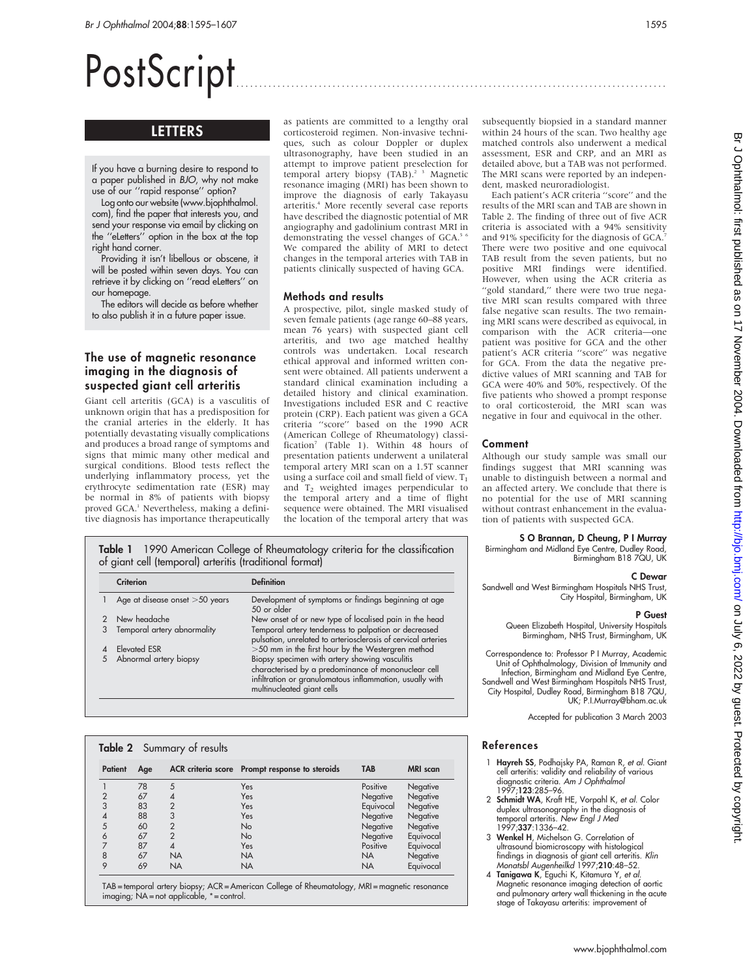# PostScript ..............................................................................................

# LETTERS

If you have a burning desire to respond to a paper published in BJO, why not make use of our ''rapid response'' option?

Log onto our website (www.bjophthalmol. com), find the paper that interests you, and send your response via email by clicking on the ''eLetters'' option in the box at the top right hand corner.

Providing it isn't libellous or obscene, it will be posted within seven days. You can retrieve it by clicking on ''read eLetters'' on our homepage.

The editors will decide as before whether to also publish it in a future paper issue.

# The use of magnetic resonance imaging in the diagnosis of suspected giant cell arteritis

Giant cell arteritis (GCA) is a vasculitis of unknown origin that has a predisposition for the cranial arteries in the elderly. It has potentially devastating visually complications and produces a broad range of symptoms and signs that mimic many other medical and surgical conditions. Blood tests reflect the underlying inflammatory process, yet the erythrocyte sedimentation rate (ESR) may be normal in 8% of patients with biopsy proved GCA.<sup>1</sup> Nevertheless, making a definitive diagnosis has importance therapeutically as patients are committed to a lengthy oral corticosteroid regimen. Non-invasive techniques, such as colour Doppler or duplex ultrasonography, have been studied in an attempt to improve patient preselection for temporal artery biopsy (TAB).<sup>2 3</sup> Magnetic resonance imaging (MRI) has been shown to improve the diagnosis of early Takayasu arteritis.4 More recently several case reports have described the diagnostic potential of MR angiography and gadolinium contrast MRI in demonstrating the vessel changes of GCA.<sup>5</sup> <sup>6</sup> We compared the ability of MRI to detect changes in the temporal arteries with TAB in patients clinically suspected of having GCA.

#### Methods and results

A prospective, pilot, single masked study of seven female patients (age range 60–88 years, mean 76 years) with suspected giant cell arteritis, and two age matched healthy controls was undertaken. Local research ethical approval and informed written consent were obtained. All patients underwent a standard clinical examination including a detailed history and clinical examination. Investigations included ESR and C reactive protein (CRP). Each patient was given a GCA criteria ''score'' based on the 1990 ACR (American College of Rheumatology) classification<sup>7</sup> (Table 1). Within 48 hours of presentation patients underwent a unilateral temporal artery MRI scan on a 1.5T scanner using a surface coil and small field of view.  $T_1$ and T2 weighted images perpendicular to the temporal artery and a time of flight sequence were obtained. The MRI visualised the location of the temporal artery that was

Table 1 1990 American College of Rheumatology criteria for the classification of giant cell (temporal) arteritis (traditional format)

|   | Criterion                        | <b>Definition</b>                                                                                                                                                                               |
|---|----------------------------------|-------------------------------------------------------------------------------------------------------------------------------------------------------------------------------------------------|
|   | Age at disease onset $>50$ years | Development of symptoms or findings beginning at age<br>50 or older                                                                                                                             |
|   | New headache                     | New onset of or new type of localised pain in the head                                                                                                                                          |
| 3 | Temporal artery abnormality      | Temporal artery tenderness to palpation or decreased<br>pulsation, unrelated to arteriosclerosis of cervical arteries                                                                           |
|   | Elevated ESR                     | >50 mm in the first hour by the Westergren method                                                                                                                                               |
| 5 | Abnormal artery biopsy           | Biopsy specimen with artery showing vasculitis<br>characterised by a predominance of mononuclear cell<br>infiltration or granulomatous inflammation, usually with<br>multinucleated giant cells |

| <b>Patient</b> | Age |                | ACR criteria score Prompt response to steroids | <b>TAB</b> | <b>MRI</b> scan |
|----------------|-----|----------------|------------------------------------------------|------------|-----------------|
|                | 78  | 5              | Yes                                            | Positive   | Negative        |
| $\overline{2}$ | 67  | 4              | Yes                                            | Negative   | Negative        |
| 3              | 83  | $\overline{2}$ | Yes                                            | Equivocal  | Negative        |
| 4              | 88  | 3              | Yes                                            | Negative   | Negative        |
| 5              | 60  | $\overline{2}$ | <b>No</b>                                      | Negative   | Negative        |
| 6              | 67  | $\overline{2}$ | <b>No</b>                                      | Negative   | Equivocal       |
| 7              | 87  | $\overline{4}$ | Yes                                            | Positive   | Equivocal       |
| 8              | 67  | <b>NA</b>      | <b>NA</b>                                      | <b>NA</b>  | Negative        |
| 9              | 69  | <b>NA</b>      | <b>NA</b>                                      | <b>NA</b>  | Equivocal       |

TAB = temporal artery biopsy; ACR = American College of Rheumatology, MRI = magnetic resonance imaging; NA = not applicable, \* = control.

subsequently biopsied in a standard manner within 24 hours of the scan. Two healthy age matched controls also underwent a medical assessment, ESR and CRP, and an MRI as detailed above, but a TAB was not performed. The MRI scans were reported by an independent, masked neuroradiologist.

Each patient's ACR criteria ''score'' and the results of the MRI scan and TAB are shown in Table 2. The finding of three out of five ACR criteria is associated with a 94% sensitivity and 91% specificity for the diagnosis of GCA.<sup>7</sup> There were two positive and one equivocal TAB result from the seven patients, but no positive MRI findings were identified. However, when using the ACR criteria as "gold standard," there were two true negative MRI scan results compared with three false negative scan results. The two remaining MRI scans were described as equivocal, in comparison with the ACR criteria—one patient was positive for GCA and the other patient's ACR criteria ''score'' was negative for GCA. From the data the negative predictive values of MRI scanning and TAB for GCA were 40% and 50%, respectively. Of the five patients who showed a prompt response to oral corticosteroid, the MRI scan was negative in four and equivocal in the other.

# Comment

Although our study sample was small our findings suggest that MRI scanning was unable to distinguish between a normal and an affected artery. We conclude that there is no potential for the use of MRI scanning without contrast enhancement in the evaluation of patients with suspected GCA.

#### S O Brannan, D Cheung, P I Murray

Birmingham and Midland Eye Centre, Dudley Road, Birmingham B18 7QU, UK

#### C Dewar

Sandwell and West Birmingham Hospitals NHS Trust, City Hospital, Birmingham, UK

# P Guest

Queen Elizabeth Hospital, University Hospitals Birmingham, NHS Trust, Birmingham, UK

Correspondence to: Professor P I Murray, Academic Unit of Ophthalmology, Division of Immunity and Infection, Birmingham and Midland Eye Centre, Sandwell and West Birmingham Hospitals NHS Trust, City Hospital, Dudley Road, Birmingham B18 7QU, UK; P.I.Murray@bham.ac.uk

Accepted for publication 3 March 2003

# References

- 1 Hayreh SS, Podhajsky PA, Raman R, et al. Giant cell arteritis: validity and reliability of various diagnostic criteria. Am J Ophthalmol 1997;123:285–96.
- 2 Schmidt WA, Kraft HE, Vorpahl K, et al. Color duplex ultrasonography in the diagnosis of<br>temporal arteritis. *New Engl J Med* 1997;337:1336–42.
- 3 Wenkel H, Michelson G. Correlation of ultrasound biomicroscopy with histological findings in diagnosis of giant cell arteritis. Klin Monatsbl Augenheilkd 1997;210:48–52.
- 4 Tanigawa K, Eguchi K, Kitamura Y, et al. Magnetic resonance imaging detection of aortic and pulmonary artery wall thickening in the acute stage of Takayasu arteritis: improvement of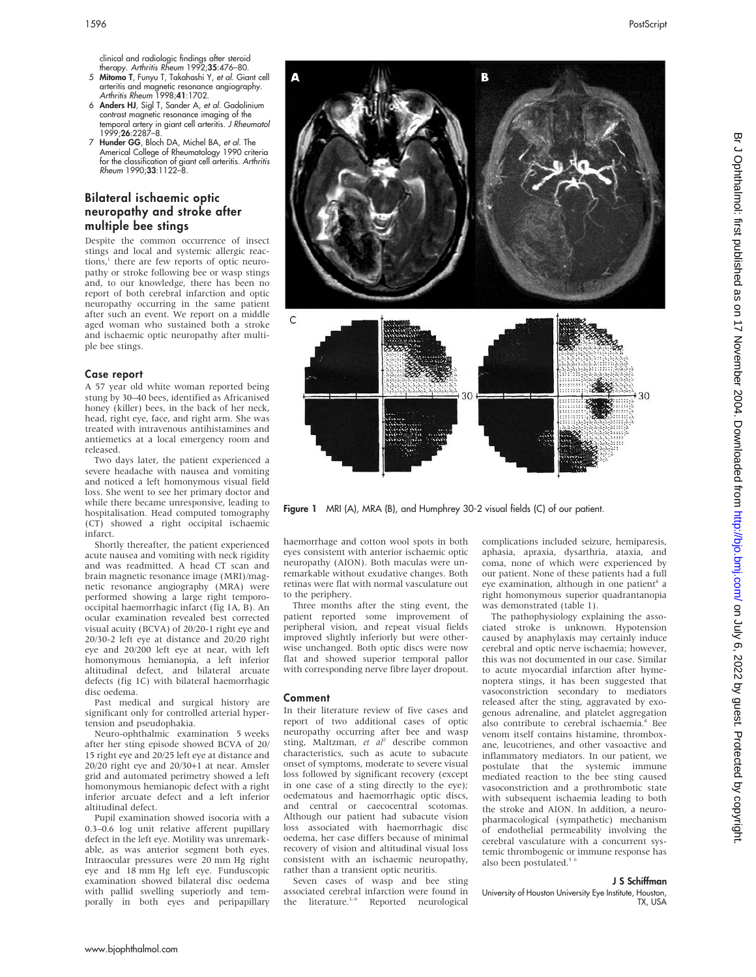clinical and radiologic findings after steroid therapy. Arthritis Rheum 1992;35:476-80.

- 5 Mitomo T, Funyu T, Takahashi Y, et al. Giant cell arteritis and magnetic resonance angiography.<br>*Arthritis Rheum* 1998;**41**:1702.
- 6 Anders HJ, Sigl T, Sander A, et al. Gadolinium contrast magnetic resonance imaging of the temporal artery in giant cell arteritis. J Rheumatol 1999;26:2287–8.
- 7 Hunder GG, Bloch DA, Michel BA, et al. The Americal College of Rheumatology 1990 criteria for the classification of giant cell arteritis. Arthritis Rheum 1990;33:1122–8.

# Bilateral ischaemic optic neuropathy and stroke after multiple bee stings

Despite the common occurrence of insect stings and local and systemic allergic reactions,<sup>1</sup> there are few reports of optic neuropathy or stroke following bee or wasp stings and, to our knowledge, there has been no report of both cerebral infarction and optic neuropathy occurring in the same patient after such an event. We report on a middle aged woman who sustained both a stroke and ischaemic optic neuropathy after multiple bee stings.

#### Case report

A 57 year old white woman reported being stung by 30–40 bees, identified as Africanised honey (killer) bees, in the back of her neck, head, right eye, face, and right arm. She was treated with intravenous antihistamines and antiemetics at a local emergency room and released.

Two days later, the patient experienced a severe headache with nausea and vomiting and noticed a left homonymous visual field loss. She went to see her primary doctor and while there became unresponsive, leading to hospitalisation. Head computed tomography (CT) showed a right occipital ischaemic infarct.

Shortly thereafter, the patient experienced acute nausea and vomiting with neck rigidity and was readmitted. A head CT scan and brain magnetic resonance image (MRI)/magnetic resonance angiography (MRA) were performed showing a large right temporooccipital haemorrhagic infarct (fig 1A, B). An ocular examination revealed best corrected visual acuity (BCVA) of 20/20-1 right eye and 20/30-2 left eye at distance and 20/20 right eye and 20/200 left eye at near, with left homonymous hemianopia, a left inferior altitudinal defect, and bilateral arcuate defects (fig 1C) with bilateral haemorrhagic disc oedema.

Past medical and surgical history are significant only for controlled arterial hypertension and pseudophakia.

Neuro-ophthalmic examination 5 weeks after her sting episode showed BCVA of 20/ 15 right eye and 20/25 left eye at distance and 20/20 right eye and 20/30+1 at near. Amsler grid and automated perimetry showed a left homonymous hemianopic defect with a right inferior arcuate defect and a left inferior altitudinal defect.

Pupil examination showed isocoria with a 0.3–0.6 log unit relative afferent pupillary defect in the left eye. Motility was unremarkable, as was anterior segment both eyes. Intraocular pressures were 20 mm Hg right eye and 18 mm Hg left eye. Funduscopic examination showed bilateral disc oedema with pallid swelling superiorly and temporally in both eyes and peripapillary



Figure 1 MRI (A), MRA (B), and Humphrey 30-2 visual fields (C) of our patient.

haemorrhage and cotton wool spots in both eyes consistent with anterior ischaemic optic neuropathy (AION). Both maculas were unremarkable without exudative changes. Both retinas were flat with normal vasculature out to the periphery.

Three months after the sting event, the patient reported some improvement of peripheral vision, and repeat visual fields improved slightly inferiorly but were otherwise unchanged. Both optic discs were now flat and showed superior temporal pallor with corresponding nerve fibre layer dropout.

#### Comment

In their literature review of five cases and report of two additional cases of optic neuropathy occurring after bee and wasp sting, Maltzman, et  $al^2$  describe common characteristics, such as acute to subacute onset of symptoms, moderate to severe visual loss followed by significant recovery (except in one case of a sting directly to the eye); oedematous and haemorrhagic optic discs, and central or caecocentral scotomas. Although our patient had subacute vision loss associated with haemorrhagic disc oedema, her case differs because of minimal recovery of vision and altitudinal visual loss consistent with an ischaemic neuropathy, rather than a transient optic neuritis.

Seven cases of wasp and bee sting associated cerebral infarction were found in the literature.<sup>3-9</sup> Reported neurological

complications included seizure, hemiparesis, aphasia, apraxia, dysarthria, ataxia, and coma, none of which were experienced by our patient. None of these patients had a full eye examination, although in one patient<sup>8</sup> a right homonymous superior quadrantanopia was demonstrated (table 1).

The pathophysiology explaining the associated stroke is unknown. Hypotension caused by anaphylaxis may certainly induce cerebral and optic nerve ischaemia; however, this was not documented in our case. Similar to acute myocardial infarction after hymenoptera stings, it has been suggested that vasoconstriction secondary to mediators released after the sting, aggravated by exogenous adrenaline, and platelet aggregation also contribute to cerebral ischaemia.<sup>8</sup> Bee venom itself contains histamine, thromboxane, leucotrienes, and other vasoactive and inflammatory mediators. In our patient, we postulate that the systemic immune mediated reaction to the bee sting caused vasoconstriction and a prothrombotic state with subsequent ischaemia leading to both the stroke and AION. In addition, a neuropharmacological (sympathetic) mechanism of endothelial permeability involving the cerebral vasculature with a concurrent systemic thrombogenic or immune response has also been postulated.<sup>5</sup>

#### J S Schiffman

University of Houston University Eye Institute, Houston, TX, USA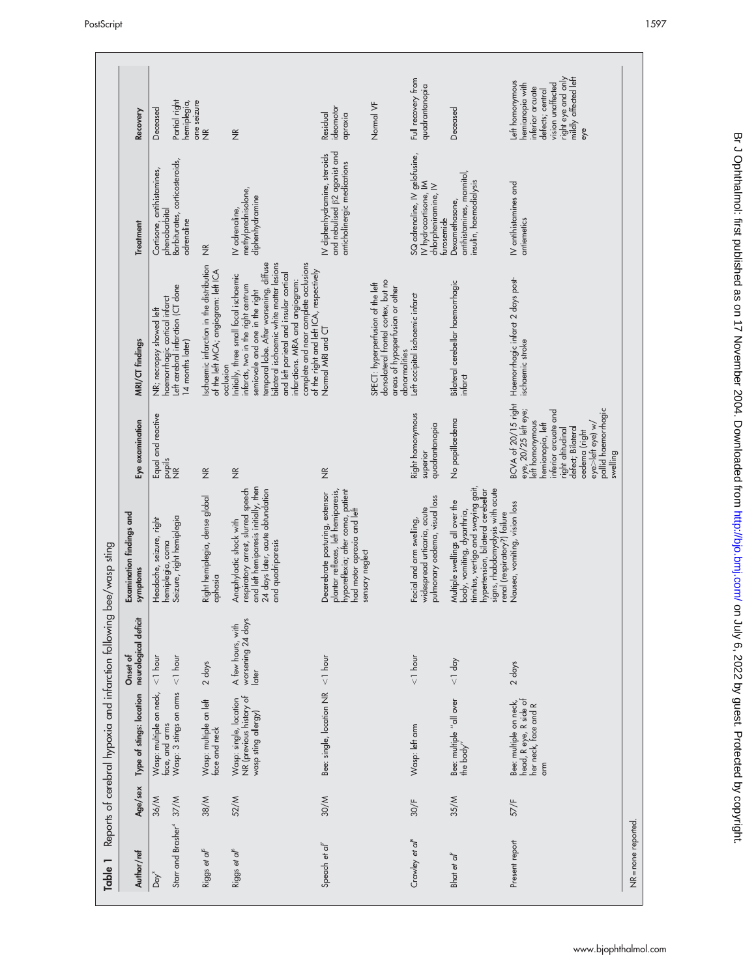| Ξ<br>Table                                           |         | Reports of cerebral hypoxia and infarction following                            |                                                 | bee/wasp sting                                                                                                                                                                                                  |                                                                                                                                                                                                                             |                                                                                                                                                                                                                                                                                                                                                                        |                                                                                                    |                                                                                                                                                     |
|------------------------------------------------------|---------|---------------------------------------------------------------------------------|-------------------------------------------------|-----------------------------------------------------------------------------------------------------------------------------------------------------------------------------------------------------------------|-----------------------------------------------------------------------------------------------------------------------------------------------------------------------------------------------------------------------------|------------------------------------------------------------------------------------------------------------------------------------------------------------------------------------------------------------------------------------------------------------------------------------------------------------------------------------------------------------------------|----------------------------------------------------------------------------------------------------|-----------------------------------------------------------------------------------------------------------------------------------------------------|
| Author/ref                                           | Age/sex | Type of stings: location                                                        | neurological deficit<br>Onset of                | Examination findings and<br>symptoms                                                                                                                                                                            | Eye examination                                                                                                                                                                                                             | MRI/CT findings                                                                                                                                                                                                                                                                                                                                                        | Treatment                                                                                          | Recovery                                                                                                                                            |
| Starr and Brasher <sup>4</sup> 37/M<br>$D\alpha y^3$ | 36/M    | Wasp: multiple on neck,<br>Wasp: 3 stings on arms<br>face, and arms             | $< 1$ hour<br>$1$ hour                          | Seizure, right hemiplegia<br>Headache, seizure, right<br>hemiplegia, coma                                                                                                                                       | Equal and reactive<br>$\frac{1}{2}$                                                                                                                                                                                         | Left cerebral infarction (CT done<br>haemorrhagic cortical infarct<br>NR; necropsy showed left<br>14 months later)                                                                                                                                                                                                                                                     | Barbiturates, corticosteroids,<br>Cortisone, antihistamines,<br>phenobarbital<br>adrenaline        | Partial right<br>hemiplegia,<br>Deceased                                                                                                            |
| Riggs et al <sup>6</sup>                             | 38/M    | Wasp: multiple on left<br>face and neck                                         | 2 days                                          | Right hemiplegia, dense global<br>aphasia                                                                                                                                                                       | $\frac{\alpha}{2}$                                                                                                                                                                                                          | schaemic infarction in the distribution<br>of the left MCA; angiogram: left ICA<br>occlusion                                                                                                                                                                                                                                                                           | $\frac{\alpha}{2}$                                                                                 | one seizure<br>$\frac{\alpha}{2}$                                                                                                                   |
| Riggs et al <sup>6</sup>                             | 52/M    | NR (previous history of<br>Wasp: single, location<br>wasp sting allergy)        | worsening 24 days<br>A few hours, with<br>later | and left hemiparesis initially, then<br>respiratory arrest, slurred speech<br>24 days later, acute obtundation<br>Anaphylactic shock with<br>and quadriparesis                                                  | $\frac{\alpha}{2}$                                                                                                                                                                                                          | bilateral ischaemic white matter lesions<br>complete and near complete occlusions<br>temporal lobe. After worsening, diffuse<br>of the right and left ICA, respectively<br>and left parietal and insular cortical<br>Initially, three small focal ischaemic<br>infarctions. MRA and angiogram:<br>infarcts, two in the right centrum<br>semiovale and one in the right | methylprednisolone,<br>diphenhydramine<br>IV adrenaline,                                           | $\frac{\alpha}{2}$                                                                                                                                  |
| Speach et al                                         | 30/M    | Bee: single, location NR $\langle$ 1 hour                                       |                                                 | plantar reflexes, left hemiparesis,<br>hyporeflexia; after coma, patient<br>Decerebrate posturing, extensor<br>had motor apraxia and left<br>sensory neglect                                                    | $\widetilde{\Xi}$                                                                                                                                                                                                           | Normal MRI and CT                                                                                                                                                                                                                                                                                                                                                      | and nebulised $\beta$ 2 agonist and<br>IV diphenhydramine, steroids<br>anticholinergic medications | ideomotor<br>Residual<br>apraxia                                                                                                                    |
|                                                      |         |                                                                                 |                                                 |                                                                                                                                                                                                                 |                                                                                                                                                                                                                             | dorsolateral frontal cortex, but no<br>SPECT: hyperperfusion of the left<br>areas of hypoperfusion or other<br>abnormalities                                                                                                                                                                                                                                           |                                                                                                    | Normal VF                                                                                                                                           |
| Crawley et al <sup>B</sup>                           | 30/F    | Wasp: left arm                                                                  | $< 1$ hour                                      | pulmonary oedema, visual loss<br>widespread urticaria, acute<br>Facial and arm swelling,                                                                                                                        | Right homonymous<br>quadrantanopia<br>superior                                                                                                                                                                              | Left occipital ischaemic infarct                                                                                                                                                                                                                                                                                                                                       | SQ adrenaline, IV gelofusine,<br>IV hydrocortisone, IM<br>chlorpheniramine, IV<br>turosemide       | Full recovery from<br>quadrantanopia                                                                                                                |
| Bhat et al <sup>p</sup>                              | 35/M    | Bee: multiple "all over<br>the body"                                            | $< 1$ day                                       | tinnitus, vertigo and swaying gait,<br>signs, rhabdomyolysis with acute<br>hypertension, bilateral cerebellar<br>Multiple swellings all over the<br>body, vomiting, dysarthria,<br>renal (respiratory?) failure | No papilloedema                                                                                                                                                                                                             | Bilateral cerebellar haemorrhagic<br>infarct                                                                                                                                                                                                                                                                                                                           | antihistamines, mannitol,<br>insulin, haemodialysis<br>Dexamethasone,                              | Deceased                                                                                                                                            |
| Present report                                       | 57/F    | Bee: multiple on neck,<br>head, R eye, R side of<br>her neck, face and R<br>arm | 2 days                                          | Nausea, vomiting, vision loss                                                                                                                                                                                   | BCVA of 20/15 right<br>eye, 20/25 left eye;<br>pallid haemorrhagic<br>interior arcuate and<br>eft homonymous<br>nemianopia, left<br>eye>left eye) w/<br>defect; Bilateral<br>right altitudinal<br>oedema (right<br>swelling | Haemorrhagic infarct 2 days post-<br>ischaemic stroke                                                                                                                                                                                                                                                                                                                  | IV antihistamines and<br>antiemetics                                                               | right eye and only<br>mildly affected left<br>eft homonymous<br>nemianopia with<br>vision unaffected<br>inferior arcuate<br>defects; central<br>eye |
| $NR = none$ reported.                                |         |                                                                                 |                                                 |                                                                                                                                                                                                                 |                                                                                                                                                                                                                             |                                                                                                                                                                                                                                                                                                                                                                        |                                                                                                    |                                                                                                                                                     |

www.bjophthalmol.com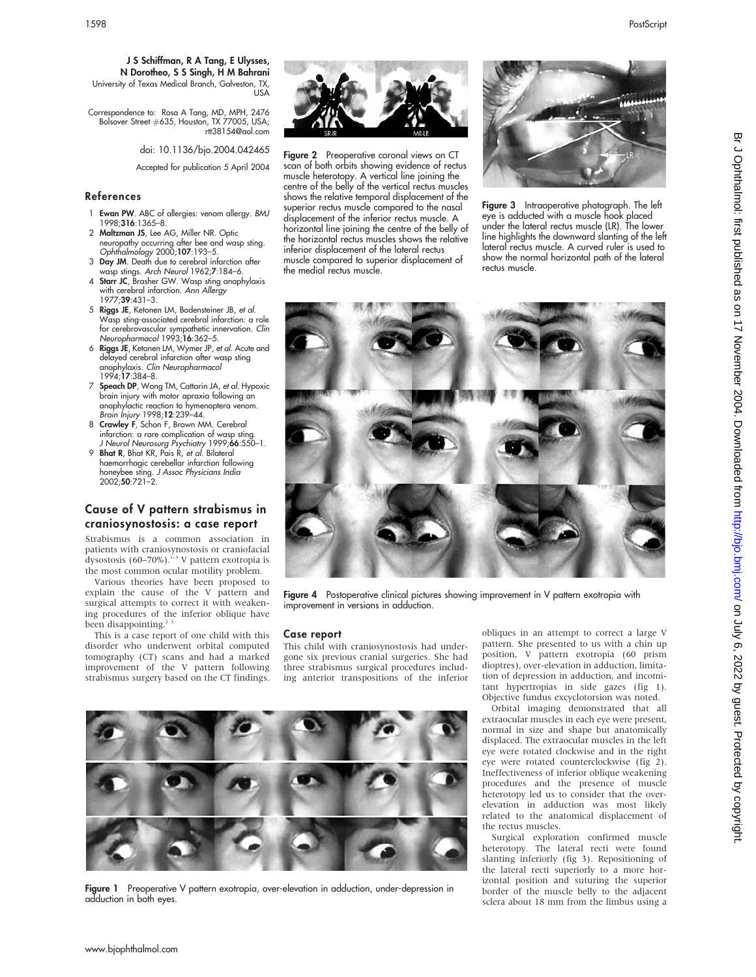Correspondence to: Rosa A Tang, MD, MPH, 2476 Bolsover Street #635, Houston, TX 77005, USA; rtt38154@aol.com

doi: 10.1136/bjo.2004.042465

Accepted for publication 5 April 2004

## References

- 1 Ewan PW. ABC of allergies: venom allergy. BMJ 1998;316:1365–8.
- 2 Maltzman JS, Lee AG, Miller NR. Optic neuropathy occurring alter bee and wasp sting.<br>*Ophthalmology* 2000;**107**:193–5.
- 3 Day JM. Death due to cerebral infarction after
- wasp stings. Arch Neurol 1962;7:184–6. 4 Starr JC, Brasher GW. Wasp sting anaphylaxis with cerebral infarction. Ann Allergy 1977;39:431–3.
- 5 Riggs JE, Ketonen LM, Bodensteiner JB, et al. Wasp sting-associated cerebral infarction: a role for cerebrovascular sympathetic innervation. Clin Neuropharmacol 1993;16:362–5.
- 6 Riggs JE, Ketonen LM, Wymer JP, et al. Acute and delayed cerebral infarction after wasp sting anaphylaxis. Clin Neuropharmacol 1994;17:384–8.
- 7 Speach DP, Wong TM, Cattarin JA, et al. Hypoxic brain injury with motor apraxia following an anaphylactic reaction to hymenoptera venom. Brain Injury 1998;12:239–44.
- 8 Crawley F, Schon F, Brown MM. Cerebral infarction: a rare complication of wasp sting.
- J Neurol Neurosurg Psychiatry 1999;66:550–1. 9 Bhat R, Bhat KR, Pais R, et al. Bilateral haemorrhagic cerebellar infarction following honeybee sting. *J Assoc Physicians India*<br>2002;**50**:721–2.

# Cause of V pattern strabismus in craniosynostosis: a case report

Strabismus is a common association in patients with craniosynostosis or craniofacial dysostosis (60–70%).<sup>1-3</sup> V pattern exotropia is the most common ocular motility problem.

Various theories have been proposed to explain the cause of the V pattern and surgical attempts to correct it with weakening procedures of the inferior oblique have been disappointing.<sup>2</sup>

This is a case report of one child with this disorder who underwent orbital computed tomography (CT) scans and had a marked improvement of the V pattern following strabismus surgery based on the CT findings.



Figure 2 Preoperative coronal views on CT scan of both orbits showing evidence of rectus muscle heterotopy. A vertical line joining the centre of the belly of the vertical rectus muscles shows the relative temporal displacement of the superior rectus muscle compared to the nasal displacement of the inferior rectus muscle. A horizontal line joining the centre of the belly of the horizontal rectus muscles shows the relative inferior displacement of the lateral rectus muscle compared to superior displacement of the medial rectus muscle.



Figure 3 Intraoperative photograph. The left eye is adducted with a muscle hook placed under the lateral rectus muscle (LR). The lower line highlights the downward slanting of the left lateral rectus muscle. A curved ruler is used to show the normal horizontal path of the lateral rectus muscle.



Figure 4 Postoperative clinical pictures showing improvement in V pattern exotropia with improvement in versions in adduction.

#### Case report

This child with craniosynostosis had undergone six previous cranial surgeries. She had three strabismus surgical procedures including anterior transpositions of the inferior



Figure 1 Preoperative V pattern exotropia, over-elevation in adduction, under-depression in adduction in both eyes.

obliques in an attempt to correct a large V pattern. She presented to us with a chin up position, V pattern exotropia (60 prism dioptres), over-elevation in adduction, limitation of depression in adduction, and incomitant hypertropias in side gazes (fig 1). Objective fundus excyclotorsion was noted.

Orbital imaging demonstrated that all extraocular muscles in each eye were present, normal in size and shape but anatomically displaced. The extraocular muscles in the left eye were rotated clockwise and in the right eye were rotated counterclockwise (fig 2). Ineffectiveness of inferior oblique weakening procedures and the presence of muscle heterotopy led us to consider that the overelevation in adduction was most likely related to the anatomical displacement of the rectus muscles.

Surgical exploration confirmed muscle heterotopy. The lateral recti were found slanting inferiorly (fig 3). Repositioning of the lateral recti superiorly to a more horizontal position and suturing the superior border of the muscle belly to the adjacent sclera about 18 mm from the limbus using a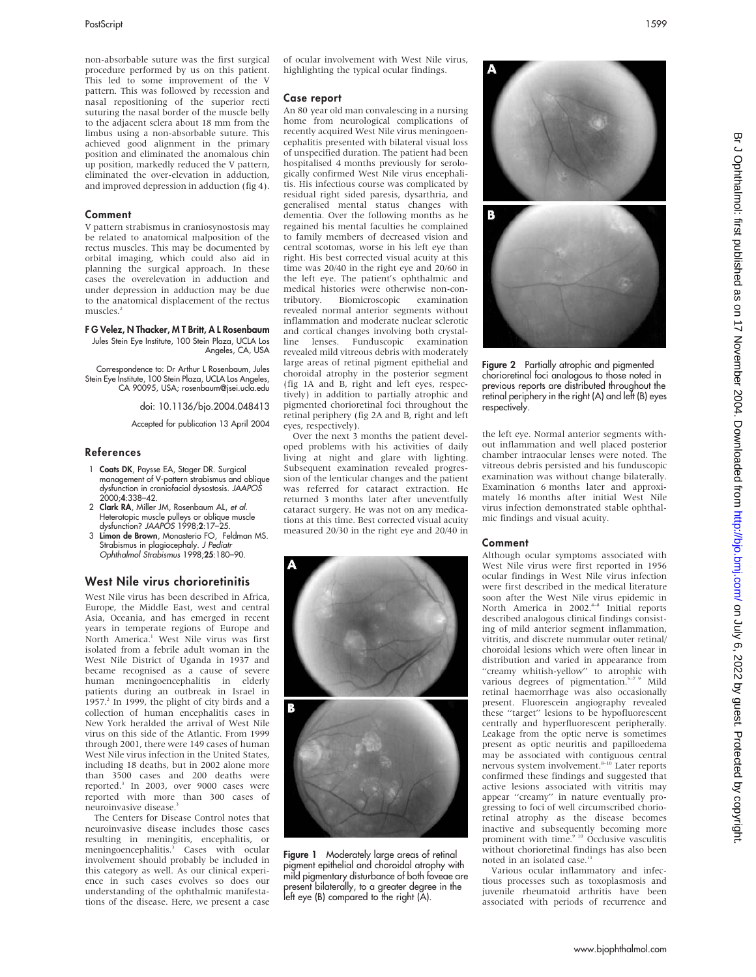non-absorbable suture was the first surgical procedure performed by us on this patient. This led to some improvement of the V pattern. This was followed by recession and nasal repositioning of the superior recti suturing the nasal border of the muscle belly to the adjacent sclera about 18 mm from the limbus using a non-absorbable suture. This achieved good alignment in the primary position and eliminated the anomalous chin up position, markedly reduced the V pattern, eliminated the over-elevation in adduction, and improved depression in adduction (fig 4).

#### Comment

V pattern strabismus in craniosynostosis may be related to anatomical malposition of the rectus muscles. This may be documented by orbital imaging, which could also aid in planning the surgical approach. In these cases the overelevation in adduction and under depression in adduction may be due to the anatomical displacement of the rectus muscles.<sup>2</sup>

#### F G Velez, N Thacker, M T Britt, A L Rosenbaum

Jules Stein Eye Institute, 100 Stein Plaza, UCLA Los Angeles, CA, USA

Correspondence to: Dr Arthur L Rosenbaum, Jules Stein Eye Institute, 100 Stein Plaza, UCLA Los Angeles, CA 90095, USA; rosenbaum@jsei.ucla.edu

doi: 10.1136/bjo.2004.048413

Accepted for publication 13 April 2004

#### References

- 1 Coats DK, Paysse EA, Stager DR. Surgical management of V-pattern strabismus and oblique dysfunction in craniofacial dysostosis. JAAPOS 2000;4:338–42.
- 2 Clark RA, Miller JM, Rosenbaum AL, et al. Heterotopic muscle pulleys or oblique muscle dysfunction? JAAPOS 1998;2:17–25.
- 3 Limon de Brown, Monasterio FO, Feldman MS. Strabismus in plagiocephaly. *J Pediatr*<br>Ophthalmol Strabismus 1998;**25**:180–90.

#### West Nile virus chorioretinitis

West Nile virus has been described in Africa, Europe, the Middle East, west and central Asia, Oceania, and has emerged in recent years in temperate regions of Europe and North America.1 West Nile virus was first isolated from a febrile adult woman in the West Nile District of Uganda in 1937 and became recognised as a cause of severe human meningoencephalitis in elderly patients during an outbreak in Israel in 1957. $^2$  In 1999, the plight of city birds and a collection of human encephalitis cases in New York heralded the arrival of West Nile virus on this side of the Atlantic. From 1999 through 2001, there were 149 cases of human West Nile virus infection in the United States, including 18 deaths, but in 2002 alone more than 3500 cases and 200 deaths were reported.3 In 2003, over 9000 cases were reported with more than 300 cases of neuroinvasive disease.<sup>3</sup>

The Centers for Disease Control notes that neuroinvasive disease includes those cases resulting in meningitis, encephalitis, or meningoencephalitis.<sup>3</sup> Cases with ocular involvement should probably be included in this category as well. As our clinical experience in such cases evolves so does our understanding of the ophthalmic manifestations of the disease. Here, we present a case of ocular involvement with West Nile virus, highlighting the typical ocular findings.

#### Case report

An 80 year old man convalescing in a nursing home from neurological complications of recently acquired West Nile virus meningoencephalitis presented with bilateral visual loss of unspecified duration. The patient had been hospitalised 4 months previously for serologically confirmed West Nile virus encephalitis. His infectious course was complicated by residual right sided paresis, dysarthria, and generalised mental status changes with dementia. Over the following months as he regained his mental faculties he complained to family members of decreased vision and central scotomas, worse in his left eye than right. His best corrected visual acuity at this time was 20/40 in the right eye and 20/60 in the left eye. The patient's ophthalmic and medical histories were otherwise non-con-<br>tributory. Biomicroscopic examination Biomicroscopic examination revealed normal anterior segments without inflammation and moderate nuclear sclerotic and cortical changes involving both crystalline lenses. Funduscopic examination revealed mild vitreous debris with moderately large areas of retinal pigment epithelial and choroidal atrophy in the posterior segment (fig 1A and B, right and left eyes, respectively) in addition to partially atrophic and pigmented chorioretinal foci throughout the retinal periphery (fig 2A and B, right and left eyes, respectively).

Over the next 3 months the patient developed problems with his activities of daily living at night and glare with lighting. Subsequent examination revealed progression of the lenticular changes and the patient was referred for cataract extraction. He returned 3 months later after uneventfully cataract surgery. He was not on any medications at this time. Best corrected visual acuity measured 20/30 in the right eye and 20/40 in



Figure 1 Moderately large areas of retinal pigment epithelial and choroidal atrophy with mild pigmentary disturbance of both foveae are present bilaterally, to a greater degree in the left eye (B) compared to the right (A).



Figure 2 Partially atrophic and pigmented chorioretinal foci analogous to those noted in previous reports are distributed throughout the retinal periphery in the right (A) and left (B) eyes respectively.

the left eye. Normal anterior segments without inflammation and well placed posterior chamber intraocular lenses were noted. The vitreous debris persisted and his funduscopic examination was without change bilaterally. Examination 6 months later and approximately 16 months after initial West Nile virus infection demonstrated stable ophthalmic findings and visual acuity.

#### Comment

Although ocular symptoms associated with West Nile virus were first reported in 1956 ocular findings in West Nile virus infection were first described in the medical literature soon after the West Nile virus epidemic in North America in 2002.<sup>4-8</sup> Initial reports described analogous clinical findings consisting of mild anterior segment inflammation, vitritis, and discrete nummular outer retinal/ choroidal lesions which were often linear in distribution and varied in appearance from "creamy whitish-yellow" to atrophic with various degrees of pigmentation.<sup>5-7 9</sup> Mild retinal haemorrhage was also occasionally present. Fluorescein angiography revealed these ''target'' lesions to be hypofluorescent centrally and hyperfluorescent peripherally. Leakage from the optic nerve is sometimes present as optic neuritis and papilloedema may be associated with contiguous central nervous system involvement. $8-10$  Later reports confirmed these findings and suggested that active lesions associated with vitritis may appear ''creamy'' in nature eventually progressing to foci of well circumscribed chorioretinal atrophy as the disease becomes inactive and subsequently becoming more<br>prominent with time.<sup>9 10</sup> Occlusive vasculitis without chorioretinal findings has also been noted in an isolated case.<sup>11</sup>

Various ocular inflammatory and infectious processes such as toxoplasmosis and juvenile rheumatoid arthritis have been associated with periods of recurrence and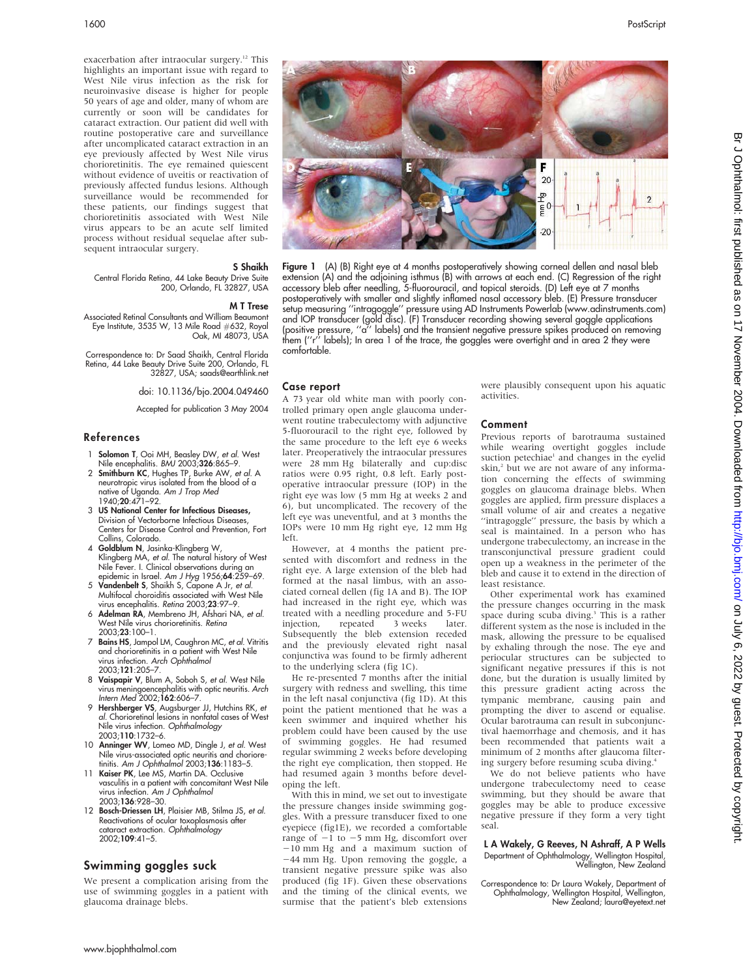exacerbation after intraocular surgery.<sup>12</sup> This highlights an important issue with regard to West Nile virus infection as the risk for neuroinvasive disease is higher for people 50 years of age and older, many of whom are currently or soon will be candidates for cataract extraction. Our patient did well with routine postoperative care and surveillance after uncomplicated cataract extraction in an eye previously affected by West Nile virus chorioretinitis. The eye remained quiescent without evidence of uveitis or reactivation of previously affected fundus lesions. Although surveillance would be recommended for these patients, our findings suggest that chorioretinitis associated with West Nile virus appears to be an acute self limited process without residual sequelae after subsequent intraocular surgery.

#### S Shaikh

Central Florida Retina, 44 Lake Beauty Drive Suite 200, Orlando, FL 32827, USA

#### M T Trese

Associated Retinal Consultants and William Beaumont Eye Institute, 3535 W, 13 Mile Road #632, Royal Oak, MI 48073, USA

Correspondence to: Dr Saad Shaikh, Central Florida Retina, 44 Lake Beauty Drive Suite 200, Orlando, FL 32827, USA; saads@earthlink.net

doi: 10.1136/bjo.2004.049460

Accepted for publication 3 May 2004

#### References

- 1 **Solomon T**, Ooi MH, Beasley DW, et al. West Nile encephalitis. BMJ 2003;326:865–9.
- 2 Smithburn KC, Hughes TP, Burke AW, et al. A neurotropic virus isolated from the blood of a native of Uganda. Am J Trop Med 1940;20:471–92.
- 3 US National Center for Infectious Diseases, Division of Vectorborne Infectious Diseases, Centers for Disease Control and Prevention, Fort Collins, Colorado.
- 4 Goldblum N, Jasinka-Klingberg W, Klingberg MA, et al. The natural history of West Nile Fever. I. Clinical observations during an epidemic in Israel. Am J Hyg 1956;64:259-69.
- 5 Vandenbelt S, Shaikh S, Capone A Jr, et al. Multifocal choroiditis associated with West Nile virus encephalitis. Retina 2003;23:97-9.
- 6 Adelman RA, Membreno JH, Afshari NA, et al. West Nile virus chorioretinitis. Retina 2003;23:100–1.
- 7 Bains HS, Jampol LM, Caughron MC, et al. Vitritis and chorioretinitis in a patient with West Nile virus infection. Arch Ophthalmol 2003;121:205–7.
- 8 Vaispapir V, Blum A, Soboh S, et al. West Nile virus meningoencephalitis with optic neuritis. Arch
- Intern Med 2002;**162**:606–7.<br>9 **Hershberger VS**, Augsburger JJ, Hutchins RK, *e*t al. Chorioretinal lesions in nonfatal cases of West Nile virus infection. Ophthalmology 2003;110:1732–6.
- 10 Anninger WV, Lomeo MD, Dingle J, et al. West Nile virus-associated optic neuritis and chorioretinitis. Am J Ophthalmol 2003;136:1183-5.
- 11 Kaiser PK, Lee MS, Martin DA. Occlusive vasculitis in a patient with concomitant West Nile virus infection. Am J Ophthalmol 2003;136:928–30.
- 12 Bosch-Driessen LH, Plaisier MB, Stilma JS, et al. Reactivations of ocular toxoplasmosis after cataract extraction. Ophthalmology 2002;109:41–5.

## Swimming goggles suck

We present a complication arising from the use of swimming goggles in a patient with glaucoma drainage blebs.



Figure 1 (A) (B) Right eye at 4 months postoperatively showing corneal dellen and nasal bleb extension (A) and the adjoining isthmus (B) with arrows at each end. (C) Regression of the right accessory bleb after needling, 5-fluorouracil, and topical steroids. (D) Left eye at 7 months postoperatively with smaller and slightly inflamed nasal accessory bleb. (E) Pressure transducer setup measuring ''intragoggle'' pressure using AD Instruments Powerlab (www.adinstruments.com) and IOP transducer (gold disc). (F) Transducer recording showing several goggle applications (positive pressure, ''a'' labels) and the transient negative pressure spikes produced on removing them (''r'' labels); In area 1 of the trace, the goggles were overtight and in area 2 they were comfortable.

# Case report

A 73 year old white man with poorly controlled primary open angle glaucoma underwent routine trabeculectomy with adjunctive 5-fluorouracil to the right eye, followed by the same procedure to the left eye 6 weeks later. Preoperatively the intraocular pressures were 28 mm Hg bilaterally and cup:disc ratios were 0.95 right, 0.8 left. Early postoperative intraocular pressure (IOP) in the right eye was low (5 mm Hg at weeks 2 and 6), but uncomplicated. The recovery of the left eye was uneventful, and at 3 months the IOPs were 10 mm Hg right eye, 12 mm Hg left.

However, at 4 months the patient presented with discomfort and redness in the right eye. A large extension of the bleb had formed at the nasal limbus, with an associated corneal dellen (fig 1A and B). The IOP had increased in the right eye, which was treated with a needling procedure and 5-FU injection, repeated 3 weeks later. Subsequently the bleb extension receded and the previously elevated right nasal conjunctiva was found to be firmly adherent to the underlying sclera (fig 1C).

He re-presented 7 months after the initial surgery with redness and swelling, this time in the left nasal conjunctiva (fig 1D). At this point the patient mentioned that he was a keen swimmer and inquired whether his problem could have been caused by the use of swimming goggles. He had resumed regular swimming 2 weeks before developing the right eye complication, then stopped. He had resumed again 3 months before developing the left.

With this in mind, we set out to investigate the pressure changes inside swimming goggles. With a pressure transducer fixed to one eyepiece (fig1E), we recorded a comfortable range of  $-1$  to  $-5$  mm Hg, discomfort over -10 mm Hg and a maximum suction of  $-44$  mm Hg. Upon removing the goggle, a transient negative pressure spike was also produced (fig 1F). Given these observations and the timing of the clinical events, we surmise that the patient's bleb extensions

were plausibly consequent upon his aquatic activities.

#### Comment

Previous reports of barotrauma sustained while wearing overtight goggles include suction petechiae<sup>1</sup> and changes in the eyelid skin,<sup>2</sup> but we are not aware of any information concerning the effects of swimming goggles on glaucoma drainage blebs. When goggles are applied, firm pressure displaces a small volume of air and creates a negative "intragoggle" pressure, the basis by which a seal is maintained. In a person who has undergone trabeculectomy, an increase in the transconjunctival pressure gradient could open up a weakness in the perimeter of the bleb and cause it to extend in the direction of least resistance.

Other experimental work has examined the pressure changes occurring in the mask space during scuba diving.<sup>3</sup> This is a rather different system as the nose is included in the mask, allowing the pressure to be equalised by exhaling through the nose. The eye and periocular structures can be subjected to significant negative pressures if this is not done, but the duration is usually limited by this pressure gradient acting across the tympanic membrane, causing pain and prompting the diver to ascend or equalise. Ocular barotrauma can result in subconjunctival haemorrhage and chemosis, and it has been recommended that patients wait a minimum of 2 months after glaucoma filtering surgery before resuming scuba diving.4

We do not believe patients who have undergone trabeculectomy need to cease swimming, but they should be aware that goggles may be able to produce excessive negative pressure if they form a very tight seal.

# L A Wakely, G Reeves, N Ashraff, A P Wells Department of Ophthalmology, Wellington Hospital, Wellington, New Zealand

Correspondence to: Dr Laura Wakely, Department of Ophthalmology, Wellington Hospital, Wellington, New Zealand; laura@eyetext.net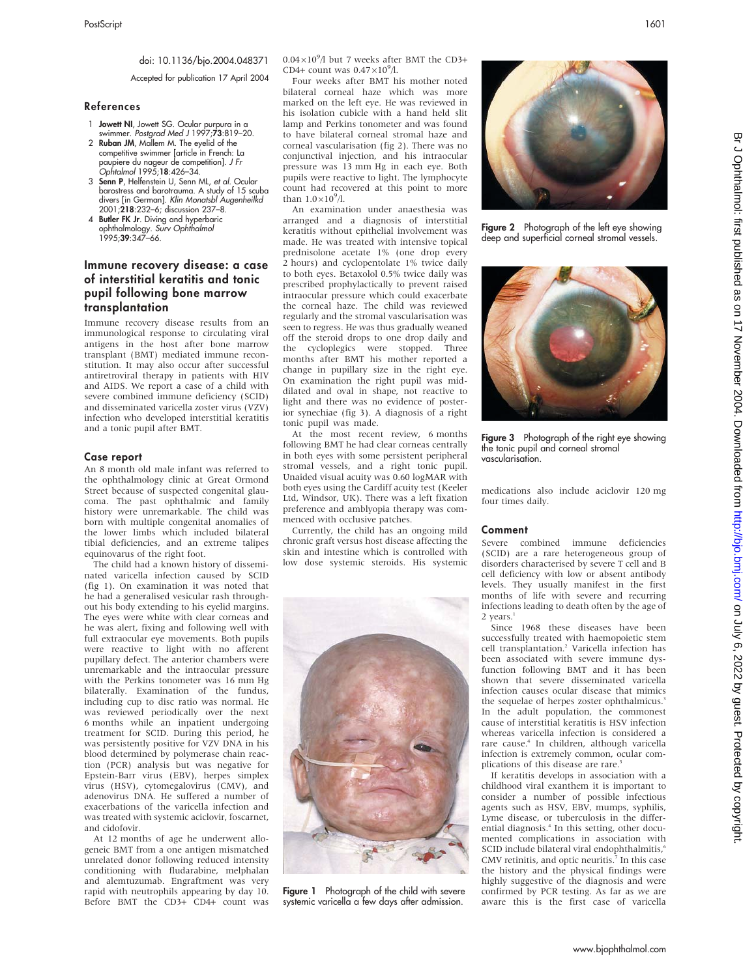## doi: 10.1136/bjo.2004.048371

Accepted for publication 17 April 2004

#### References

- 1 Jowett NI, Jowett SG. Ocular purpura in a swimmer. Postgrad Med J 1997;73:819–20.
- 2 Ruban JM, Mallem M. The eyelid of the competitive swimmer [article in French: La paupiere du nageur de competition]. J Fr Ophtalmol 1995;18:426–34.
- 3 Senn P, Helfenstein U, Senn ML, et al. Ocular barostress and barotrauma. A study of 15 scuba divers [in German]. Klin Monatsbl Augenheilkd 2001;218:232–6; discussion 237–8.
- 4 Butler FK Jr. Diving and hyperbaric ophthalmology. *Surv Ophthalmol*<br>1995;**39**:347–66.

# Immune recovery disease: a case of interstitial keratitis and tonic pupil following bone marrow transplantation

Immune recovery disease results from an immunological response to circulating viral antigens in the host after bone marrow transplant (BMT) mediated immune reconstitution. It may also occur after successful antiretroviral therapy in patients with HIV and AIDS. We report a case of a child with severe combined immune deficiency (SCID) and disseminated varicella zoster virus (VZV) infection who developed interstitial keratitis and a tonic pupil after BMT.

#### Case report

An 8 month old male infant was referred to the ophthalmology clinic at Great Ormond Street because of suspected congenital glaucoma. The past ophthalmic and family history were unremarkable. The child was born with multiple congenital anomalies of the lower limbs which included bilateral tibial deficiencies, and an extreme talipes equinovarus of the right foot.

The child had a known history of disseminated varicella infection caused by SCID (fig 1). On examination it was noted that he had a generalised vesicular rash throughout his body extending to his eyelid margins. The eyes were white with clear corneas and he was alert, fixing and following well with full extraocular eye movements. Both pupils were reactive to light with no afferent pupillary defect. The anterior chambers were unremarkable and the intraocular pressure with the Perkins tonometer was 16 mm Hg bilaterally. Examination of the fundus, including cup to disc ratio was normal. He was reviewed periodically over the next 6 months while an inpatient undergoing treatment for SCID. During this period, he was persistently positive for VZV DNA in his blood determined by polymerase chain reaction (PCR) analysis but was negative for Epstein-Barr virus (EBV), herpes simplex virus (HSV), cytomegalovirus (CMV), and adenovirus DNA. He suffered a number of exacerbations of the varicella infection and was treated with systemic aciclovir, foscarnet, and cidofovir.

At 12 months of age he underwent allogeneic BMT from a one antigen mismatched unrelated donor following reduced intensity conditioning with fludarabine, melphalan and alemtuzumab. Engraftment was very rapid with neutrophils appearing by day 10. Before BMT the CD3+ CD4+ count was  $0.04\times10^{9}$ /l but 7 weeks after BMT the CD3+ CD4+ count was  $0.47\times10^9$ /l.

Four weeks after BMT his mother noted bilateral corneal haze which was more marked on the left eye. He was reviewed in his isolation cubicle with a hand held slit lamp and Perkins tonometer and was found to have bilateral corneal stromal haze and corneal vascularisation (fig 2). There was no conjunctival injection, and his intraocular pressure was 13 mm Hg in each eye. Both pupils were reactive to light. The lymphocyte count had recovered at this point to more than  $1.0 \times 10^9/\ell$ .

An examination under anaesthesia was arranged and a diagnosis of interstitial keratitis without epithelial involvement was made. He was treated with intensive topical prednisolone acetate 1% (one drop every 2 hours) and cyclopentolate 1% twice daily to both eyes. Betaxolol 0.5% twice daily was prescribed prophylactically to prevent raised intraocular pressure which could exacerbate the corneal haze. The child was reviewed regularly and the stromal vascularisation was seen to regress. He was thus gradually weaned off the steroid drops to one drop daily and the cycloplegics were stopped. Three months after BMT his mother reported a change in pupillary size in the right eye. On examination the right pupil was middilated and oval in shape, not reactive to light and there was no evidence of posterior synechiae (fig 3). A diagnosis of a right tonic pupil was made.

At the most recent review, 6 months following BMT he had clear corneas centrally in both eyes with some persistent peripheral stromal vessels, and a right tonic pupil. Unaided visual acuity was 0.60 logMAR with both eyes using the Cardiff acuity test (Keeler Ltd, Windsor, UK). There was a left fixation preference and amblyopia therapy was commenced with occlusive patches.

Currently, the child has an ongoing mild chronic graft versus host disease affecting the skin and intestine which is controlled with low dose systemic steroids. His systemic



Figure 1 Photograph of the child with severe systemic varicella a few days after admission.



Figure 2 Photograph of the left eye showing deep and superficial corneal stromal vessels.



Figure 3 Photograph of the right eye showing the tonic pupil and corneal stromal vascularisation.

medications also include aciclovir 120 mg four times daily.

#### Comment

Severe combined immune deficiencies (SCID) are a rare heterogeneous group of disorders characterised by severe T cell and B cell deficiency with low or absent antibody levels. They usually manifest in the first months of life with severe and recurring infections leading to death often by the age of  $2$  years.<sup>1</sup>

Since 1968 these diseases have been successfully treated with haemopoietic stem cell transplantation.<sup>2</sup> Varicella infection has been associated with severe immune dysfunction following BMT and it has been shown that severe disseminated varicella infection causes ocular disease that mimics the sequelae of herpes zoster ophthalmicus.<sup>3</sup> In the adult population, the commonest cause of interstitial keratitis is HSV infection whereas varicella infection is considered a rare cause.4 In children, although varicella infection is extremely common, ocular complications of this disease are rare.<sup>5</sup>

If keratitis develops in association with a childhood viral exanthem it is important to consider a number of possible infectious agents such as HSV, EBV, mumps, syphilis, Lyme disease, or tuberculosis in the differential diagnosis.4 In this setting, other documented complications in association with SCID include bilateral viral endophthalmitis,<sup>6</sup> CMV retinitis, and optic neuritis. $\frac{7}{7}$  In this case the history and the physical findings were highly suggestive of the diagnosis and were confirmed by PCR testing. As far as we are aware this is the first case of varicella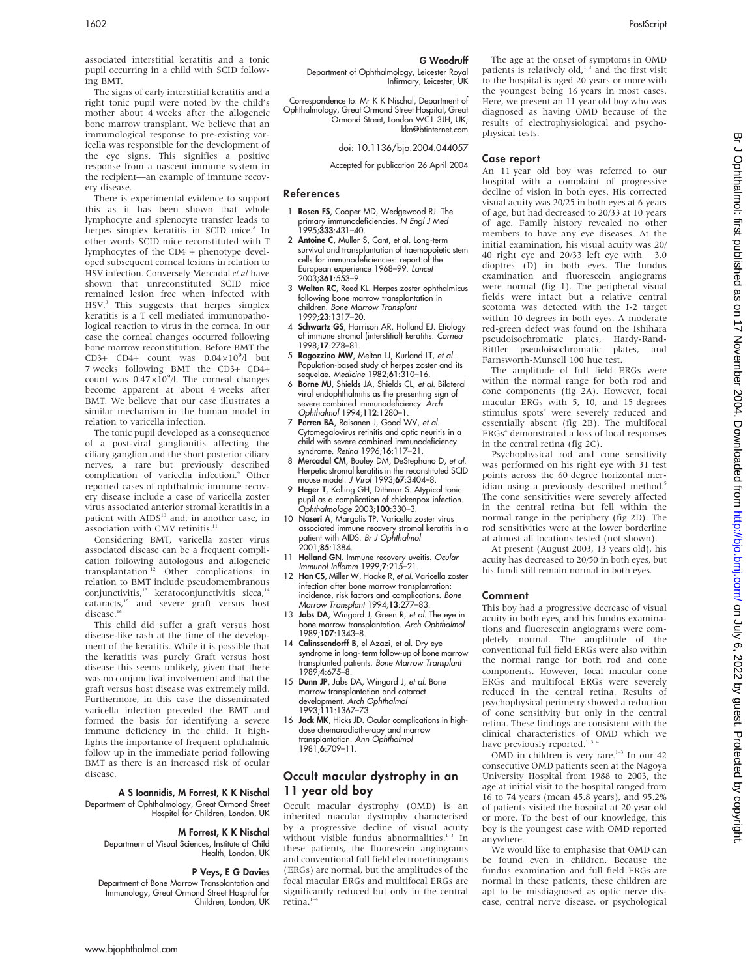associated interstitial keratitis and a tonic pupil occurring in a child with SCID following BMT.

The signs of early interstitial keratitis and a right tonic pupil were noted by the child's mother about 4 weeks after the allogeneic bone marrow transplant. We believe that an immunological response to pre-existing varicella was responsible for the development of the eye signs. This signifies a positive response from a nascent immune system in the recipient—an example of immune recovery disease.

There is experimental evidence to support this as it has been shown that whole lymphocyte and splenocyte transfer leads to herpes simplex keratitis in SCID mice.<sup>8</sup> In other words SCID mice reconstituted with T lymphocytes of the CD4 + phenotype developed subsequent corneal lesions in relation to HSV infection. Conversely Mercadal et al have shown that unreconstituted SCID mice remained lesion free when infected with HSV.<sup>8</sup> This suggests that herpes simplex keratitis is a T cell mediated immunopathological reaction to virus in the cornea. In our case the corneal changes occurred following bone marrow reconstitution. Before BMT the CD3+ CD4+ count was  $0.04 \times 10^9$ /l but 7 weeks following BMT the CD3+ CD4+ count was  $0.47 \times 10^9$ /l. The corneal changes become apparent at about 4 weeks after BMT. We believe that our case illustrates a similar mechanism in the human model in relation to varicella infection.

The tonic pupil developed as a consequence of a post-viral ganglionitis affecting the ciliary ganglion and the short posterior ciliary nerves, a rare but previously described complication of varicella infection.<sup>9</sup> Other reported cases of ophthalmic immune recovery disease include a case of varicella zoster virus associated anterior stromal keratitis in a patient with AIDS<sup>10</sup> and, in another case, in association with CMV retinitis.<sup>1</sup>

Considering BMT, varicella zoster virus associated disease can be a frequent complication following autologous and allogeneic<br>transplantation.<sup>12</sup> Other complications in relation to BMT include pseudomembranous conjunctivitis, $13$  keratoconjunctivitis sicca, $14$ cataracts,15 and severe graft versus host  $disease.<sup>1</sup>$ 

This child did suffer a graft versus host disease-like rash at the time of the development of the keratitis. While it is possible that the keratitis was purely Graft versus host disease this seems unlikely, given that there was no conjunctival involvement and that the graft versus host disease was extremely mild. Furthermore, in this case the disseminated varicella infection preceded the BMT and formed the basis for identifying a severe immune deficiency in the child. It highlights the importance of frequent ophthalmic follow up in the immediate period following BMT as there is an increased risk of ocular disease.

#### A S Ioannidis, M Forrest, K K Nischal

Department of Ophthalmology, Great Ormond Street Hospital for Children, London, UK

#### M Forrest, K K Nischal

Department of Visual Sciences, Institute of Child Health, London, UK

#### P Veys, E G Davies

Department of Bone Marrow Transplantation and Immunology, Great Ormond Street Hospital for Children, London, UK

#### G Woodruff

Department of Ophthalmology, Leicester Royal Infirmary, Leicester, UK

Correspondence to: Mr K K Nischal, Department of Ophthalmology, Great Ormond Street Hospital, Great Ormond Street, London WC1 3JH, UK; kkn@btinternet.com

#### doi: 10.1136/bjo.2004.044057

Accepted for publication 26 April 2004

#### References

- 1 Rosen FS, Cooper MD, Wedgewood RJ. The primary immunodeficiencies. N Engl J Med 1995;**333**:431–40.
- 2 Antoine C, Muller S, Cant, et al. Long-term survival and transplantation of haemopoietic stem cells for immunodeficiencies: report of the European experience 1968–99. *Lancet*<br>2003;**361**:553–9.
- 3 Walton RC, Reed KL. Herpes zoster ophthalmicus following bone marrow transplantation in children. Bone Marrow Transplant 1999;23:1317–20.
- 4 Schwartz GS, Harrison AR, Holland EJ. Etiology of immune stromal (interstitial) keratitis. Cornea 1998;17:278–81.
- 5 Ragozzino MW, Melton LJ, Kurland LT, et al. Population-based study of herpes zoster and its sequelae. Medicine 1982;61:310–16.
- 6 Borne MJ, Shields JA, Shields CL, et al. Bilateral viral endophthalmitis as the presenting sign of severe combined immunodeficiency. Arch Ophthalmol 1994;112:1280–1.
- 7 Perren BA, Raisanen J, Good WV, et al. Cytomegalovirus retinitis and optic neuritis in a child with severe combined immunodeficiency syndrome. Retina 1996;16:117–21.
- 8 Mercadal CM, Bouley DM, DeStephano D, et al. Herpetic stromal keratitis in the reconstituted SCID mouse model. J Virol 1993;67:3404-8.
- 9 Heger T, Kolling GH, Dithmar S. Atypical tonic pupil as a complication of chickenpox infection. Ophthalmologe 2003;100:330–3.
- 10 Naseri A, Margolis TP. Varicella zoster virus associated immune recovery stromal keratitis in a patient with AIDS. Br J Ophthalmol .<br>2001;**85**:1384.
- 11 Holland GN. Immune recovery uveitis. Ocular Immunol Inflamm 1999;7:215–21.
- 12 Han CS, Miller W, Haake R, et al. Varicella zoster infection after bone marrow transplantation: incidence, risk factors and complications. Bone Marrow Transplant 1994;13:277–83.
- 13 Jabs DA, Wingard J, Green R, et al. The eye in bone marrow transplantation. Arch Ophthalmol 1989;107:1343–8.
- 14 Calinssendorff B, el Azazi, et al. Dry eye syndrome in long- term follow-up of bone marrow transplanted patients. Bone Marrow Transplant 1989;4:675–8.
- 15 Dunn JP, Jabs DA, Wingard J, et al. Bone marrow transplantation and cataract<br>development. *Arch Ophthalmol* 1993;111:1367–73.
- 16 Jack MK, Hicks JD. Ocular complications in highdose chemoradiotherapy and marrow transplantation. Ann Ophthalmol 1981;6:709–11.

# Occult macular dystrophy in an 11 year old boy

Occult macular dystrophy (OMD) is an inherited macular dystrophy characterised by a progressive decline of visual acuity without visible fundus abnormalities. $1-3$  In these patients, the fluorescein angiograms and conventional full field electroretinograms (ERGs) are normal, but the amplitudes of the focal macular ERGs and multifocal ERGs are significantly reduced but only in the central retina.<sup>1-4</sup>

The age at the onset of symptoms in OMD patients is relatively  $old^{1-3}$  and the first visit to the hospital is aged 20 years or more with the youngest being 16 years in most cases. Here, we present an 11 year old boy who was diagnosed as having OMD because of the results of electrophysiological and psychophysical tests.

#### Case report

An 11 year old boy was referred to our hospital with a complaint of progressive decline of vision in both eyes. His corrected visual acuity was 20/25 in both eyes at 6 years of age, but had decreased to 20/33 at 10 years of age. Family history revealed no other members to have any eye diseases. At the initial examination, his visual acuity was 20/ 40 right eye and  $20/33$  left eye with  $-3.0$ dioptres (D) in both eyes. The fundus examination and fluorescein angiograms were normal (fig 1). The peripheral visual fields were intact but a relative central scotoma was detected with the I-2 target within 10 degrees in both eyes. A moderate red-green defect was found on the Ishihara pseudoisochromatic plates, Hardy-Rand-Rittler pseudoisochromatic plates, and Farnsworth-Munsell 100 hue test.

The amplitude of full field ERGs were within the normal range for both rod and cone components (fig 2A). However, focal macular ERGs with 5, 10, and 15 degrees stimulus spots<sup>3</sup> were severely reduced and essentially absent (fig 2B). The multifocal ERGs<sup>4</sup> demonstrated a loss of local responses in the central retina (fig 2C).

Psychophysical rod and cone sensitivity was performed on his right eye with 31 test points across the 60 degree horizontal meridian using a previously described method.<sup>5</sup> The cone sensitivities were severely affected in the central retina but fell within the normal range in the periphery (fig 2D). The rod sensitivities were at the lower borderline at almost all locations tested (not shown).

At present (August 2003, 13 years old), his acuity has decreased to 20/50 in both eyes, but his fundi still remain normal in both eyes.

#### Comment

This boy had a progressive decrease of visual acuity in both eyes, and his fundus examinations and fluorescein angiograms were completely normal. The amplitude of the conventional full field ERGs were also within the normal range for both rod and cone components. However, focal macular cone ERGs and multifocal ERGs were severely reduced in the central retina. Results of psychophysical perimetry showed a reduction of cone sensitivity but only in the central retina. These findings are consistent with the clinical characteristics of OMD which we have previously reported.<sup>13</sup>

OMD in children is very rare. $1-3$  In our 42 consecutive OMD patients seen at the Nagoya University Hospital from 1988 to 2003, the age at initial visit to the hospital ranged from 16 to 74 years (mean 45.8 years), and 95.2% of patients visited the hospital at 20 year old or more. To the best of our knowledge, this boy is the youngest case with OMD reported anywhere.

We would like to emphasise that OMD can be found even in children. Because the fundus examination and full field ERGs are normal in these patients, these children are apt to be misdiagnosed as optic nerve disease, central nerve disease, or psychological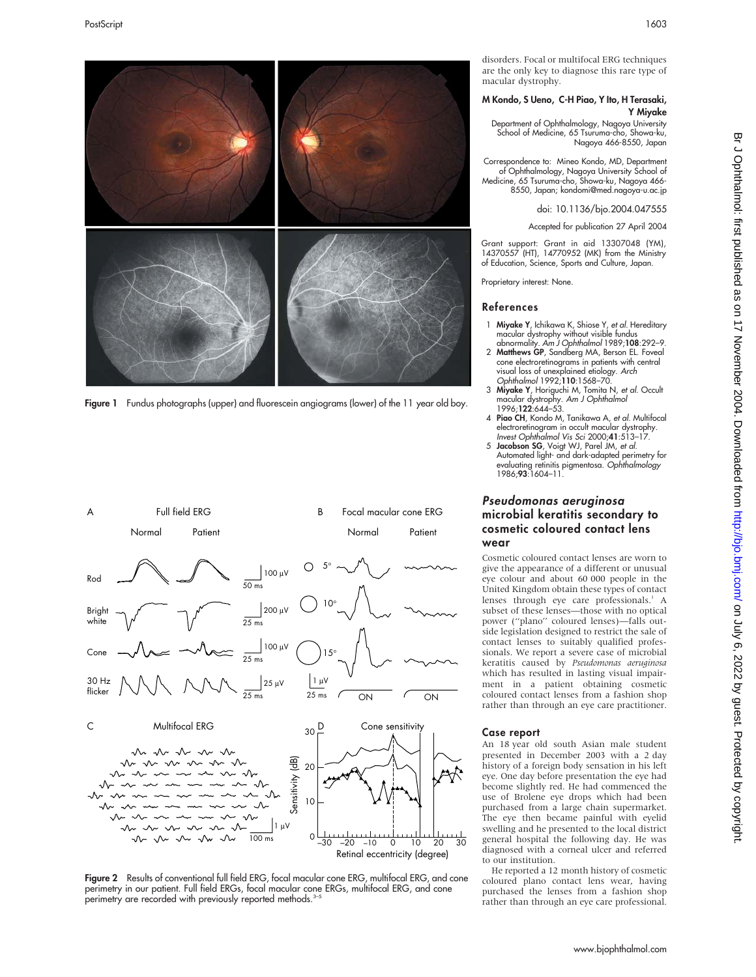

Figure 1 Fundus photographs (upper) and fluorescein angiograms (lower) of the 11 year old boy.



Figure 2 Results of conventional full field ERG, focal macular cone ERG, multifocal ERG, and cone perimetry in our patient. Full field ERGs, focal macular cone ERGs, multifocal ERG, and cone perimetry are recorded with previously reported methods.<sup>3-5</sup>

disorders. Focal or multifocal ERG techniques are the only key to diagnose this rare type of macular dystrophy.

#### M Kondo, S Ueno, C-H Piao, Y Ito, H Terasaki, Y Miyake

Department of Ophthalmology, Nagoya University School of Medicine, 65 Tsuruma-cho, Showa-ku, Nagoya 466-8550, Japan

Correspondence to: Mineo Kondo, MD, Department of Ophthalmology, Nagoya University School of Medicine, 65 Tsuruma-cho, Showa-ku, Nagoya 466- 8550, Japan; kondomi@med.nagoya-u.ac.jp

doi: 10.1136/bjo.2004.047555

Accepted for publication 27 April 2004

Grant support: Grant in aid 13307048 (YM), 14370557 (HT), 14770952 (MK) from the Ministry of Education, Science, Sports and Culture, Japan.

Proprietary interest: None.

#### References

- 1 Miyake Y, Ichikawa K, Shiose Y, et al. Hereditary macular dystrophy without visible fundus<br>abnormality. *Am J Ophthalmol* 1989;**108**:292–9.
- 2 Matthews GP, Sandberg MA, Berson EL. Foveal cone electroretinograms in patients with central visual loss of unexplained etiology. Arch Ophthalmol 1992;110:1568–70.
- 3 Miyake Y, Horiguchi M, Tomita N, et al. Occult macular dystrophy. *Am J Ophthalmol*<br>1996;**122**:644–53.
- 4 Piao CH, Kondo M, Tanikawa A, et al. Multifocal electroretinogram in occult macular dystrophy. Invest Ophthalmol Vis Sci 2000;41:513–17.
- 5 Jacobson SG, Voigt WJ, Parel JM, et al. Automated light- and dark-adapted perimetry for evaluating retinitis pigmentosa. Ophthalmology 1986;93:1604–11.

# Pseudomonas aeruginosa microbial keratitis secondary to cosmetic coloured contact lens wear

Cosmetic coloured contact lenses are worn to give the appearance of a different or unusual eye colour and about 60 000 people in the United Kingdom obtain these types of contact lenses through eye care professionals.<sup>1</sup> A subset of these lenses—those with no optical power (''plano'' coloured lenses)—falls outside legislation designed to restrict the sale of contact lenses to suitably qualified professionals. We report a severe case of microbial keratitis caused by Pseudomonas aeruginosa which has resulted in lasting visual impairment in a patient obtaining cosmetic coloured contact lenses from a fashion shop rather than through an eye care practitioner.

#### Case report

An 18 year old south Asian male student presented in December 2003 with a 2 day history of a foreign body sensation in his left eye. One day before presentation the eye had become slightly red. He had commenced the use of Brolene eye drops which had been purchased from a large chain supermarket. The eye then became painful with eyelid swelling and he presented to the local district general hospital the following day. He was diagnosed with a corneal ulcer and referred to our institution.

He reported a 12 month history of cosmetic coloured plano contact lens wear, having purchased the lenses from a fashion shop rather than through an eye care professional.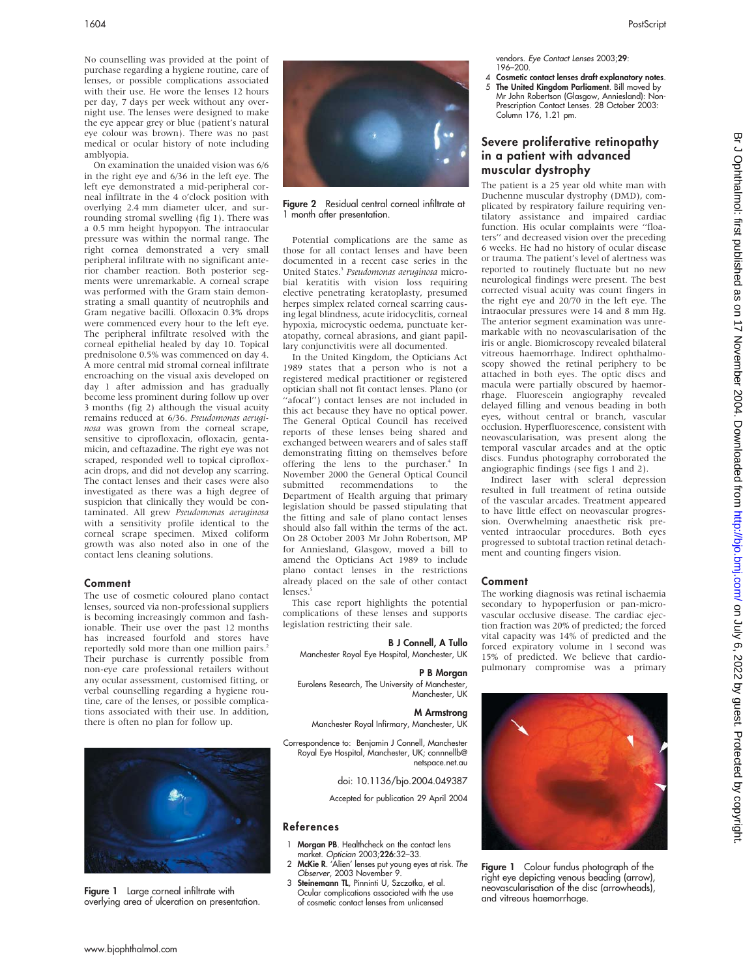No counselling was provided at the point of purchase regarding a hygiene routine, care of lenses, or possible complications associated with their use. He wore the lenses 12 hours per day, 7 days per week without any overnight use. The lenses were designed to make the eye appear grey or blue (patient's natural eye colour was brown). There was no past medical or ocular history of note including amblyopia.

On examination the unaided vision was 6/6 in the right eye and 6/36 in the left eye. The left eye demonstrated a mid-peripheral corneal infiltrate in the 4 o'clock position with overlying 2.4 mm diameter ulcer, and surrounding stromal swelling (fig 1). There was a 0.5 mm height hypopyon. The intraocular pressure was within the normal range. The right cornea demonstrated a very small peripheral infiltrate with no significant anterior chamber reaction. Both posterior segments were unremarkable. A corneal scrape was performed with the Gram stain demonstrating a small quantity of neutrophils and Gram negative bacilli. Ofloxacin 0.3% drops were commenced every hour to the left eye. The peripheral infiltrate resolved with the corneal epithelial healed by day 10. Topical prednisolone 0.5% was commenced on day 4. A more central mid stromal corneal infiltrate encroaching on the visual axis developed on day 1 after admission and has gradually become less prominent during follow up over 3 months (fig 2) although the visual acuity remains reduced at 6/36. Pseudomonas aeruginosa was grown from the corneal scrape, sensitive to ciprofloxacin, ofloxacin, gentamicin, and ceftazadine. The right eye was not scraped, responded well to topical ciprofloxacin drops, and did not develop any scarring. The contact lenses and their cases were also investigated as there was a high degree of suspicion that clinically they would be contaminated. All grew Pseudomonas aeruginosa with a sensitivity profile identical to the corneal scrape specimen. Mixed coliform growth was also noted also in one of the contact lens cleaning solutions.

#### Comment

The use of cosmetic coloured plano contact lenses, sourced via non-professional suppliers is becoming increasingly common and fashionable. Their use over the past 12 months has increased fourfold and stores have reportedly sold more than one million pairs.<sup>2</sup> Their purchase is currently possible from non-eye care professional retailers without any ocular assessment, customised fitting, or verbal counselling regarding a hygiene routine, care of the lenses, or possible complications associated with their use. In addition, there is often no plan for follow up.



Figure 1 Large corneal infiltrate with overlying area of ulceration on presentation.



Figure 2 Residual central corneal infiltrate at 1 month after presentation.

Potential complications are the same as those for all contact lenses and have been documented in a recent case series in the United States.<sup>3</sup> Pseudomonas aeruginosa microbial keratitis with vision loss requiring elective penetrating keratoplasty, presumed herpes simplex related corneal scarring causing legal blindness, acute iridocyclitis, corneal hypoxia, microcystic oedema, punctuate keratopathy, corneal abrasions, and giant papillary conjunctivitis were all documented.

In the United Kingdom, the Opticians Act 1989 states that a person who is not a registered medical practitioner or registered optician shall not fit contact lenses. Plano (or ''afocal'') contact lenses are not included in this act because they have no optical power. The General Optical Council has received reports of these lenses being shared and exchanged between wearers and of sales staff demonstrating fitting on themselves before offering the lens to the purchaser.<sup>4</sup> In November 2000 the General Optical Council submitted recommendations to the Department of Health arguing that primary legislation should be passed stipulating that the fitting and sale of plano contact lenses should also fall within the terms of the act. On 28 October 2003 Mr John Robertson, MP for Anniesland, Glasgow, moved a bill to amend the Opticians Act 1989 to include plano contact lenses in the restrictions already placed on the sale of other contact lenses.

This case report highlights the potential complications of these lenses and supports legislation restricting their sale.

#### B J Connell, A Tullo

Manchester Royal Eye Hospital, Manchester, UK

#### P B Morgan

Eurolens Research, The University of Manchester,

Manchester, UK

#### M Armstrong

Manchester Royal Infirmary, Manchester, UK

Correspondence to: Benjamin J Connell, Manchester Royal Eye Hospital, Manchester, UK; connnellb@ netspace.net.au

doi: 10.1136/bjo.2004.049387

Accepted for publication 29 April 2004

#### References

- 1 Morgan PB. Healthcheck on the contact lens market. Optician 2003;226:32–33.
- 2 McKie R. 'Alien' lenses put young eyes at risk. The Observer, 2003 November 9.
- 3 Steinemann TL, Pinninti U, Szczotka, et al. Ocular complications associated with the use of cosmetic contact lenses from unlicensed

vendors. Eye Contact Lenses 2003;29: 196–200.

4 Cosmetic contact lenses draft explanatory notes. 5 The United Kingdom Parliament. Bill moved by Mr John Robertson (Glasgow, Anniesland): Non-Prescription Contact Lenses. 28 October 2003: Column 176, 1.21 pm.

# Severe proliferative retinopathy in a patient with advanced muscular dystrophy

The patient is a 25 year old white man with Duchenne muscular dystrophy (DMD), complicated by respiratory failure requiring ventilatory assistance and impaired cardiac function. His ocular complaints were ''floaters'' and decreased vision over the preceding 6 weeks. He had no history of ocular disease or trauma. The patient's level of alertness was reported to routinely fluctuate but no new neurological findings were present. The best corrected visual acuity was count fingers in the right eye and 20/70 in the left eye. The intraocular pressures were 14 and 8 mm Hg. The anterior segment examination was unremarkable with no neovascularisation of the iris or angle. Biomicroscopy revealed bilateral vitreous haemorrhage. Indirect ophthalmoscopy showed the retinal periphery to be attached in both eyes. The optic discs and macula were partially obscured by haemorrhage. Fluorescein angiography revealed delayed filling and venous beading in both eyes, without central or branch, vascular occlusion. Hyperfluorescence, consistent with neovascularisation, was present along the temporal vascular arcades and at the optic discs. Fundus photography corroborated the angiographic findings (see figs 1 and 2).

Indirect laser with scleral depression resulted in full treatment of retina outside of the vascular arcades. Treatment appeared to have little effect on neovascular progression. Overwhelming anaesthetic risk prevented intraocular procedures. Both eyes progressed to subtotal traction retinal detachment and counting fingers vision.

#### Comment

The working diagnosis was retinal ischaemia secondary to hypoperfusion or pan-microvascular occlusive disease. The cardiac ejection fraction was 20% of predicted; the forced vital capacity was 14% of predicted and the forced expiratory volume in 1 second was 15% of predicted. We believe that cardiopulmonary compromise was a primary



Figure 1 Colour fundus photograph of the right eye depicting venous beading (arrow), neovascularisation of the disc (arrowheads), and vitreous haemorrhage.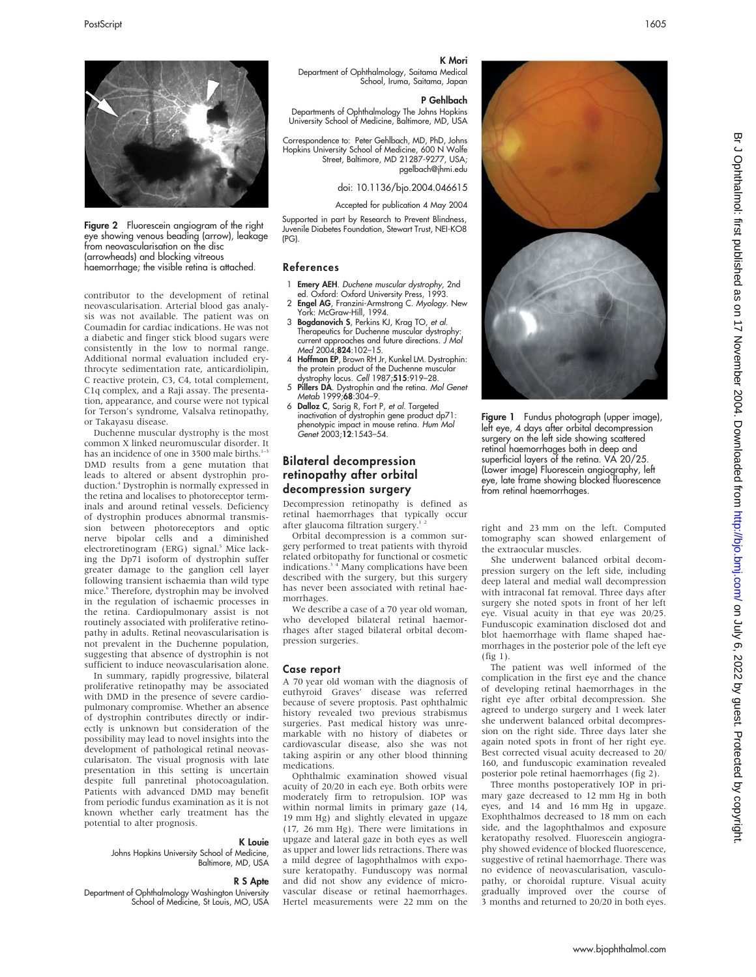contributor to the development of retinal neovascularisation. Arterial blood gas analysis was not available. The patient was on Coumadin for cardiac indications. He was not a diabetic and finger stick blood sugars were consistently in the low to normal range. Additional normal evaluation included erythrocyte sedimentation rate, anticardiolipin, C reactive protein, C3, C4, total complement, C1q complex, and a Raji assay. The presentation, appearance, and course were not typical for Terson's syndrome, Valsalva retinopathy,

Figure 2 Fluorescein angiogram of the right eye showing venous beading (arrow), leakage from neovascularisation on the disc (arrowheads) and blocking vitreous haemorrhage; the visible retina is attached.

Duchenne muscular dystrophy is the most common X linked neuromuscular disorder. It has an incidence of one in 3500 male births.<sup>1–3</sup> DMD results from a gene mutation that leads to altered or absent dystrophin production.<sup>4</sup> Dystrophin is normally expressed in the retina and localises to photoreceptor terminals and around retinal vessels. Deficiency of dystrophin produces abnormal transmission between photoreceptors and optic nerve bipolar cells and a diminished electroretinogram (ERG) signal.<sup>5</sup> Mice lacking the Dp71 isoform of dystrophin suffer greater damage to the ganglion cell layer following transient ischaemia than wild type mice.<sup>6</sup> Therefore, dystrophin may be involved in the regulation of ischaemic processes in the retina. Cardiopulmonary assist is not routinely associated with proliferative retinopathy in adults. Retinal neovascularisation is not prevalent in the Duchenne population, suggesting that absence of dystrophin is not sufficient to induce neovascularisation alone. In summary, rapidly progressive, bilateral proliferative retinopathy may be associated with DMD in the presence of severe cardiopulmonary compromise. Whether an absence of dystrophin contributes directly or indirectly is unknown but consideration of the possibility may lead to novel insights into the development of pathological retinal neovascularisaton. The visual prognosis with late presentation in this setting is uncertain despite full panretinal photocoagulation. Patients with advanced DMD may benefit from periodic fundus examination as it is not known whether early treatment has the

or Takayasu disease.

potential to alter prognosis.

Johns Hopkins University School of Medicine,

School of Medicine, St Louis, MO, USA

Department of Ophthalmology Washington University



#### K Mori

Department of Ophthalmology, Saitama Medical School, Iruma, Saitama, Japan

#### P Gehlbach

Departments of Ophthalmology The Johns Hopkins University School of Medicine, Baltimore, MD, USA

Correspondence to: Peter Gehlbach, MD, PhD, Johns Hopkins University School of Medicine, 600 N Wolfe Street, Baltimore, MD 21287-9277, USA; pgelbach@jhmi.edu

doi: 10.1136/bjo.2004.046615

Accepted for publication 4 May 2004

Supported in part by Research to Prevent Blindness, Juvenile Diabetes Foundation, Stewart Trust, NEI-KO8 (PG).

#### References

- 1 Emery AEH. Duchene muscular dystrophy, 2nd ed. Oxford: Oxford University Press, 1993.
- 2 Engel AG, Franzini-Armstrong C. Myology. New York: McGraw-Hill, 1994.
- 3 Bogdanovich S, Perkins KJ, Krag TO, et al. Therapeutics for Duchenne muscular dystrophy: current approaches and future directions. J Mol Med 2004;824:102–15.
- 4 Hoffman EP, Brown RH Jr, Kunkel LM. Dystrophin: the protein product of the Duchenne muscular dystrophy locus. Cell 1987;515:919–28.
- 5 Pillers DA. Dystrophin and the retina. Mol Genet Metab 1999;68:304-9.
- 6 Dalloz C, Sarig R, Fort P, et al. Targeted inactivation of dystrophin gene product dp71: phenotypic impact in mouse retina. Hum Mol Genet 2003;12:1543–54.

# Bilateral decompression retinopathy after orbital decompression surgery

Decompression retinopathy is defined as retinal haemorrhages that typically occur after glaucoma filtration surgery.<sup>1</sup>

Orbital decompression is a common surgery performed to treat patients with thyroid related orbitopathy for functional or cosmetic indications.<sup>34</sup> Many complications have been described with the surgery, but this surgery has never been associated with retinal haemorrhages.

We describe a case of a 70 year old woman, who developed bilateral retinal haemorrhages after staged bilateral orbital decompression surgeries.

#### Case report

K Louie

R S Apte

Baltimore, MD, USA

A 70 year old woman with the diagnosis of euthyroid Graves' disease was referred because of severe proptosis. Past ophthalmic history revealed two previous strabismus surgeries. Past medical history was unremarkable with no history of diabetes or cardiovascular disease, also she was not taking aspirin or any other blood thinning medications.

Ophthalmic examination showed visual acuity of 20/20 in each eye. Both orbits were moderately firm to retropulsion. IOP was within normal limits in primary gaze (14, 19 mm Hg) and slightly elevated in upgaze (17, 26 mm Hg). There were limitations in upgaze and lateral gaze in both eyes as well as upper and lower lids retractions. There was a mild degree of lagophthalmos with exposure keratopathy. Funduscopy was normal and did not show any evidence of microvascular disease or retinal haemorrhages.



**Figure 1** Fundus photograph (upper image), left eye, 4 days after orbital decompression surgery on the left side showing scattered retinal haemorrhages both in deep and superficial layers of the retina. VA 20/25 (Lower image) Fluorescein angiography, left eye, late frame showing blocked fluorescence from retinal haemorrhages.

right and 23 mm on the left. Computed tomography scan showed enlargement of the extraocular muscles.

She underwent balanced orbital decompression surgery on the left side, including deep lateral and medial wall decompression with intraconal fat removal. Three days after surgery she noted spots in front of her left eye. Visual acuity in that eye was 20/25. Funduscopic examination disclosed dot and blot haemorrhage with flame shaped haemorrhages in the posterior pole of the left eye (fig 1).

The patient was well informed of the complication in the first eye and the chance of developing retinal haemorrhages in the right eye after orbital decompression. She agreed to undergo surgery and 1 week later she underwent balanced orbital decompression on the right side. Three days later she again noted spots in front of her right eye. Best corrected visual acuity decreased to 20/ 160, and funduscopic examination revealed posterior pole retinal haemorrhages (fig 2).

Three months postoperatively IOP in primary gaze decreased to 12 mm Hg in both eyes, and 14 and 16 mm Hg in upgaze. Exophthalmos decreased to 18 mm on each side, and the lagophthalmos and exposure keratopathy resolved. Fluorescein angiography showed evidence of blocked fluorescence, suggestive of retinal haemorrhage. There was no evidence of neovascularisation, vasculopathy, or choroidal rupture. Visual acuity gradually improved over the course of 3 months and returned to 20/20 in both eyes.

Hertel measurements were 22 mm on the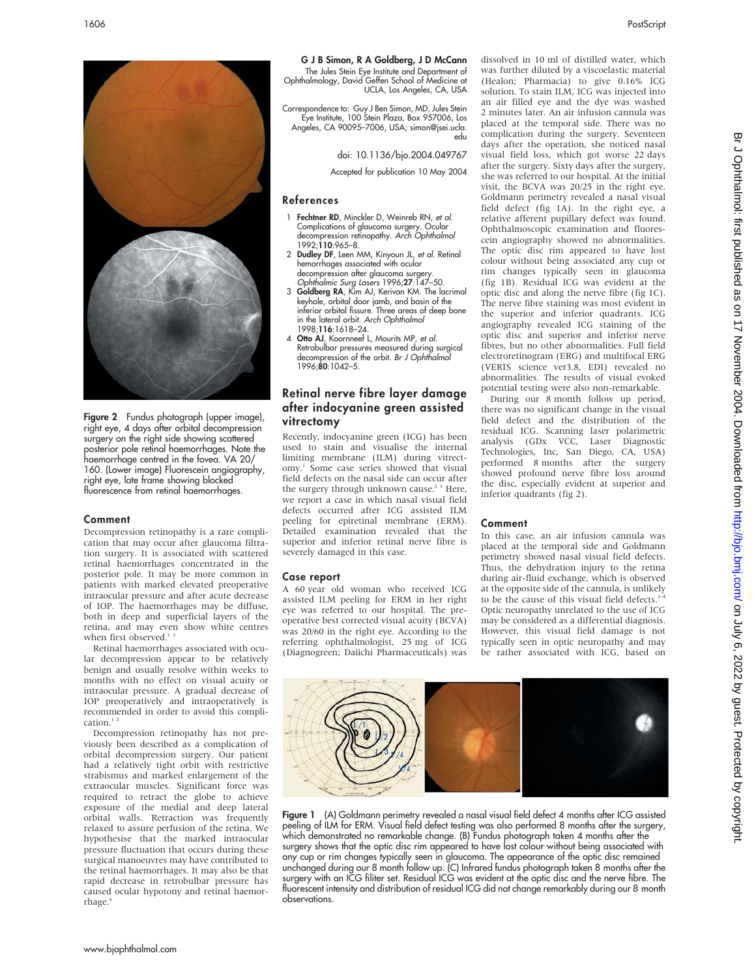

**Figure 2** Fundus photograph (upper image), right eye, 4 days after orbital decompression surgery on the right side showing scattered posterior pole retinal haemorrhages. Note the haemorrhage centred in the fovea. VA 20/ 160. (Lower image) Fluorescein angiography, right eye, late frame showing blocked fluorescence from retinal haemorrhages.

#### Comment

Decompression retinopathy is a rare complication that may occur after glaucoma filtration surgery. It is associated with scattered retinal haemorrhages concentrated in the posterior pole. It may be more common in patients with marked elevated preoperative intraocular pressure and after acute decrease of IOP. The haemorrhages may be diffuse, both in deep and superficial layers of the retina, and may even show white centres when first observed.<sup>1</sup><sup>2</sup>

Retinal haemorrhages associated with ocular decompression appear to be relatively benign and usually resolve within weeks to months with no effect on visual acuity or intraocular pressure. A gradual decrease of IOP preoperatively and intraoperatively is recommended in order to avoid this compli $cation.<sup>1</sup>$ 

Decompression retinopathy has not previously been described as a complication of orbital decompression surgery. Our patient had a relatively tight orbit with restrictive strabismus and marked enlargement of the extraocular muscles. Significant force was required to retract the globe to achieve exposure of the medial and deep lateral orbital walls. Retraction was frequently relaxed to assure perfusion of the retina. We hypothesise that the marked intraocular pressure fluctuation that occurs during these surgical manoeuvres may have contributed to the retinal haemorrhages. It may also be that rapid decrease in retrobulbar pressure has caused ocular hypotony and retinal haemorrhage.4

G J B Simon, R A Goldberg, J D McCann

The Jules Stein Eye Institute and Department of Ophthalmology, David Geffen School of Medicine at UCLA, Los Angeles, CA, USA

Correspondence to: Guy J Ben Simon, MD, Jules Stein Eye Institute, 100 Stein Plaza, Box 957006, Los Angeles, CA 90095–7006, USA; simon@jsei.ucla. edu

doi: 10.1136/bjo.2004.049767

Accepted for publication 10 May 2004

#### References

- 1 Fechtner RD, Minckler D, Weinreb RN, et al. Complications of glaucoma surgery. Ocular decompression retinopathy. Arch Ophthalmol 1992;110:965–8.
- 2 Dudley DF, Leen MM, Kinyoun JL, et al. Retinal hemorrhages associated with ocular decompression after glaucoma surger
- Ophthalmic Surg Lasers 1996;27:147-50. Goldberg RA, Kim AJ, Kerivan KM. The lacrimal keyhole, orbital door jamb, and basin of the inferior orbital fissure. Three areas of deep bone in the lateral orbit. Arch Ophthalmol 1998;116:1618–24.
- Otto AJ, Koornneef L, Mourits MP, et al. Retrobulbar pressures measured during surgical decompression of the orbit. Br J Ophthalmol 1996;80:1042–5.

# Retinal nerve fibre layer damage after indocyanine green assisted vitrectomy

Recently, indocyanine green (ICG) has been used to stain and visualise the internal limiting membrane (ILM) during vitrectomy.<sup>1</sup> Some case series showed that visual field defects on the nasal side can occur after the surgery through unknown cause.<sup>2</sup> <sup>3</sup> Here, we report a case in which nasal visual field defects occurred after ICG assisted ILM peeling for epiretinal membrane (ERM). Detailed examination revealed that the superior and inferior retinal nerve fibre is severely damaged in this case.

#### Case report

A 60 year old woman who received ICG assisted ILM peeling for ERM in her right eye was referred to our hospital. The preoperative best corrected visual acuity (BCVA) was 20/60 in the right eye. According to the referring ophthalmologist, 25 mg of ICG (Diagnogreen; Daiichi Pharmaceuticals) was

dissolved in 10 ml of distilled water, which was further diluted by a viscoelastic material (Healon; Pharmacia) to give 0.16% ICG solution. To stain ILM, ICG was injected into an air filled eye and the dye was washed 2 minutes later. An air infusion cannula was placed at the temporal side. There was no complication during the surgery. Seventeen days after the operation, she noticed nasal visual field loss, which got worse 22 days after the surgery. Sixty days after the surgery, she was referred to our hospital. At the initial visit, the BCVA was 20/25 in the right eye. Goldmann perimetry revealed a nasal visual field defect (fig 1A). In the right eye, a relative afferent pupillary defect was found. Ophthalmoscopic examination and fluorescein angiography showed no abnormalities. The optic disc rim appeared to have lost colour without being associated any cup or rim changes typically seen in glaucoma (fig 1B). Residual ICG was evident at the optic disc and along the nerve fibre (fig 1C). The nerve fibre staining was most evident in the superior and inferior quadrants. ICG angiography revealed ICG staining of the optic disc and superior and inferior nerve fibres, but no other abnormalities. Full field electroretinogram (ERG) and multifocal ERG (VERIS science ver3.8, EDI) revealed no abnormalities. The results of visual evoked potential testing were also non-remarkable.

During our 8 month follow up period, there was no significant change in the visual field defect and the distribution of the residual ICG. Scanning laser polarimetric analysis (GDx VCC, Laser Diagnostic Technologies, Inc, San Diego, CA, USA) performed 8 months after the surgery showed profound nerve fibre loss around the disc, especially evident at superior and inferior quadrants (fig 2).

#### Comment

In this case, an air infusion cannula was placed at the temporal side and Goldmann perimetry showed nasal visual field defects. Thus, the dehydration injury to the retina during air-fluid exchange, which is observed at the opposite side of the cannula, is unlikely to be the cause of this visual field defects.<sup>2</sup> Optic neuropathy unrelated to the use of ICG may be considered as a differential diagnosis. However, this visual field damage is not typically seen in optic neuropathy and may be rather associated with ICG, based on



Figure 1 (A) Goldmann perimetry revealed a nasal visual field defect 4 months after ICG assisted peeling of ILM for ERM. Visual field defect testing was also performed 8 months after the surgery, which demonstrated no remarkable change. (B) Fundus photograph taken 4 months after the surgery shows that the optic disc rim appeared to have lost colour without being associated with any cup or rim changes typically seen in glaucoma. The appearance of the optic disc remained unchanged during our 8 month follow up. (C) Infrared fundus photograph taken 8 months after the surgery with an ICG filiter set. Residual ICG was evident at the optic disc and the nerve fibre. The fluorescent intensity and distribution of residual ICG did not change remarkably during our 8 month observations.